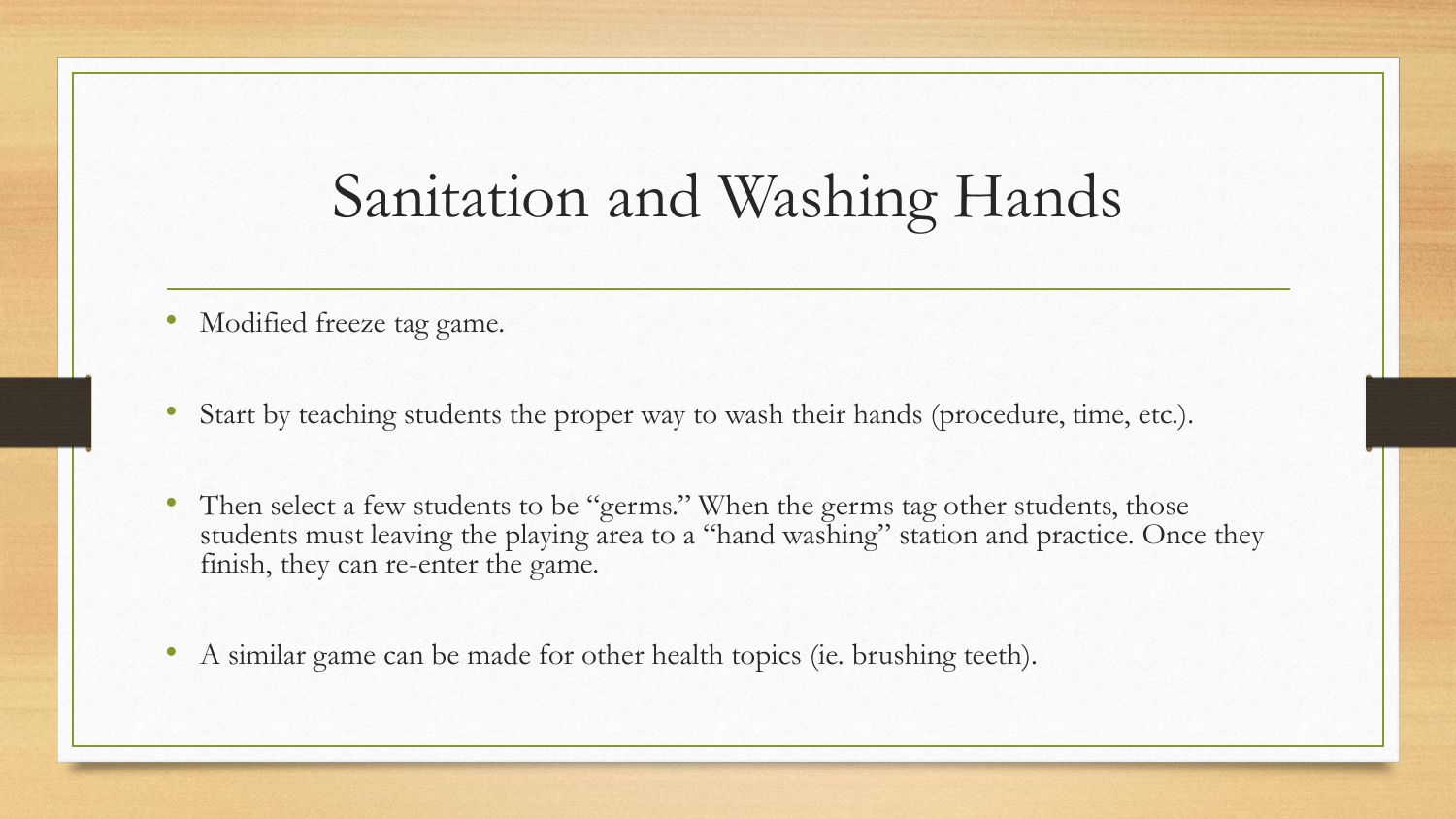## Sanitation and Washing Hands

- Modified freeze tag game.
- Start by teaching students the proper way to wash their hands (procedure, time, etc.).
- Then select a few students to be "germs." When the germs tag other students, those students must leaving the playing area to a "hand washing" station and practice. Once they finish, they can re-enter the game.
- A similar game can be made for other health topics (ie. brushing teeth).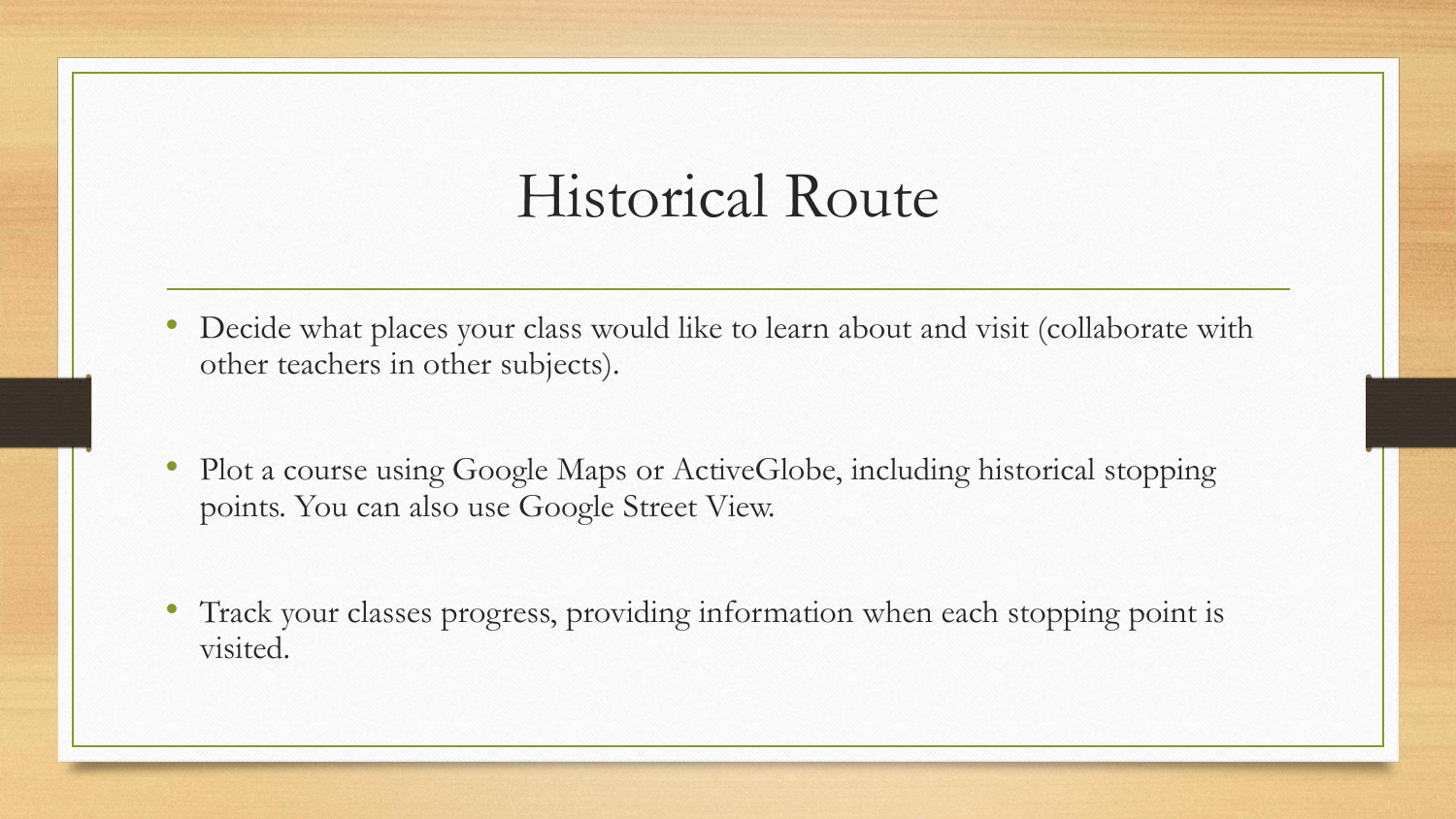## Historical Route

- Decide what places your class would like to learn about and visit (collaborate with other teachers in other subjects).
- Plot a course using Google Maps or ActiveGlobe, including historical stopping points. You can also use Google Street View.
- Track your classes progress, providing information when each stopping point is visited.